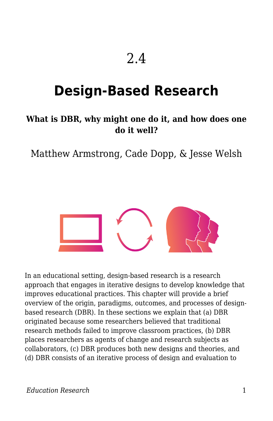## 2.4

# **Design-Based Research**

#### **What is DBR, why might one do it, and how does one do it well?**

Matthew Armstrong, Cade Dopp, & Jesse Welsh



In an educational setting, design-based research is a research approach that engages in iterative designs to develop knowledge that improves educational practices. This chapter will provide a brief overview of the origin, paradigms, outcomes, and processes of designbased research (DBR). In these sections we explain that (a) DBR originated because some researchers believed that traditional research methods failed to improve classroom practices, (b) DBR places researchers as agents of change and research subjects as collaborators, (c) DBR produces both new designs and theories, and (d) DBR consists of an iterative process of design and evaluation to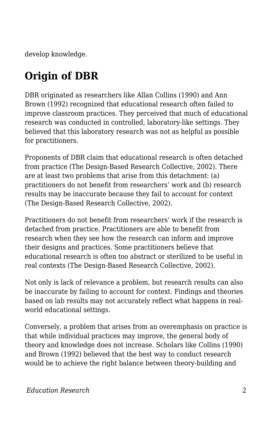develop knowledge.

# **Origin of DBR**

DBR originated as researchers like Allan Collins (1990) and Ann Brown (1992) recognized that educational research often failed to improve classroom practices. They perceived that much of educational research was conducted in controlled, laboratory-like settings. They believed that this laboratory research was not as helpful as possible for practitioners.

Proponents of DBR claim that educational research is often detached from practice (The Design-Based Research Collective, 2002). There are at least two problems that arise from this detachment: (a) practitioners do not benefit from researchers' work and (b) research results may be inaccurate because they fail to account for context (The Design-Based Research Collective, 2002).

Practitioners do not benefit from researchers' work if the research is detached from practice. Practitioners are able to benefit from research when they see how the research can inform and improve their designs and practices. Some practitioners believe that educational research is often too abstract or sterilized to be useful in real contexts (The Design-Based Research Collective, 2002).

Not only is lack of relevance a problem, but research results can also be inaccurate by failing to account for context. Findings and theories based on lab results may not accurately reflect what happens in realworld educational settings.

Conversely, a problem that arises from an overemphasis on practice is that while individual practices may improve, the general body of theory and knowledge does not increase. Scholars like Collins (1990) and Brown (1992) believed that the best way to conduct research would be to achieve the right balance between theory-building and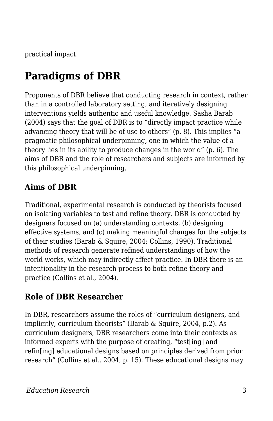practical impact.

# **Paradigms of DBR**

Proponents of DBR believe that conducting research in context, rather than in a controlled laboratory setting, and iteratively designing interventions yields authentic and useful knowledge. Sasha Barab (2004) says that the goal of DBR is to "directly impact practice while advancing theory that will be of use to others" (p. 8). This implies "a pragmatic philosophical underpinning, one in which the value of a theory lies in its ability to produce changes in the world" (p. 6). The aims of DBR and the role of researchers and subjects are informed by this philosophical underpinning.

#### **Aims of DBR**

Traditional, experimental research is conducted by theorists focused on isolating variables to test and refine theory. DBR is conducted by designers focused on (a) understanding contexts, (b) designing effective systems, and (c) making meaningful changes for the subjects of their studies (Barab & Squire, 2004; Collins, 1990). Traditional methods of research generate refined understandings of how the world works, which may indirectly affect practice. In DBR there is an intentionality in the research process to both refine theory and practice (Collins et al., 2004).

#### **Role of DBR Researcher**

In DBR, researchers assume the roles of "curriculum designers, and implicitly, curriculum theorists" (Barab & Squire, 2004, p.2). As curriculum designers, DBR researchers come into their contexts as informed experts with the purpose of creating, "test[ing] and refin[ing] educational designs based on principles derived from prior research" (Collins et al., 2004, p. 15). These educational designs may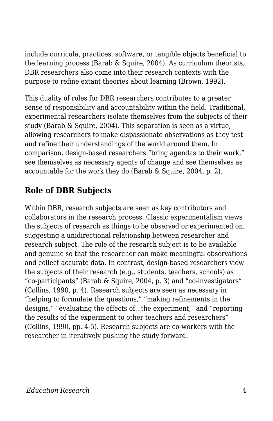include curricula, practices, software, or tangible objects beneficial to the learning process (Barab & Squire, 2004). As curriculum theorists, DBR researchers also come into their research contexts with the purpose to refine extant theories about learning (Brown, 1992).

This duality of roles for DBR researchers contributes to a greater sense of responsibility and accountability within the field. Traditional, experimental researchers isolate themselves from the subjects of their study (Barab & Squire, 2004). This separation is seen as a virtue, allowing researchers to make dispassionate observations as they test and refine their understandings of the world around them. In comparison, design-based researchers "bring agendas to their work," see themselves as necessary agents of change and see themselves as accountable for the work they do (Barab & Squire, 2004, p. 2).

### **Role of DBR Subjects**

Within DBR, research subjects are seen as key contributors and collaborators in the research process. Classic experimentalism views the subjects of research as things to be observed or experimented on, suggesting a unidirectional relationship between researcher and research subject. The role of the research subject is to be available and genuine so that the researcher can make meaningful observations and collect accurate data. In contrast, design-based researchers view the subjects of their research (e.g., students, teachers, schools) as "co-participants" (Barab & Squire, 2004, p. 3) and "co-investigators" (Collins, 1990, p. 4). Research subjects are seen as necessary in "helping to formulate the questions," "making refinements in the designs," "evaluating the effects of...the experiment," and "reporting the results of the experiment to other teachers and researchers" (Collins, 1990, pp. 4-5). Research subjects are co-workers with the researcher in iteratively pushing the study forward.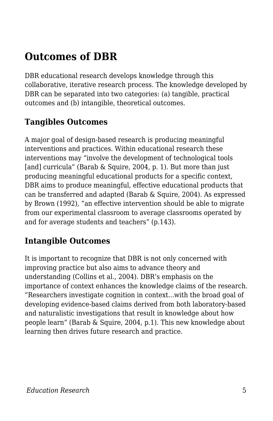## **Outcomes of DBR**

DBR educational research develops knowledge through this collaborative, iterative research process. The knowledge developed by DBR can be separated into two categories: (a) tangible, practical outcomes and (b) intangible, theoretical outcomes.

### **Tangibles Outcomes**

A major goal of design-based research is producing meaningful interventions and practices. Within educational research these interventions may "involve the development of technological tools [and] curricula" (Barab & Squire, 2004, p. 1). But more than just producing meaningful educational products for a specific context, DBR aims to produce meaningful, effective educational products that can be transferred and adapted (Barab & Squire, 2004). As expressed by Brown (1992), "an effective intervention should be able to migrate from our experimental classroom to average classrooms operated by and for average students and teachers" (p.143).

#### **Intangible Outcomes**

It is important to recognize that DBR is not only concerned with improving practice but also aims to advance theory and understanding (Collins et al., 2004). DBR's emphasis on the importance of context enhances the knowledge claims of the research. "Researchers investigate cognition in context...with the broad goal of developing evidence-based claims derived from both laboratory-based and naturalistic investigations that result in knowledge about how people learn" (Barab & Squire, 2004, p.1). This new knowledge about learning then drives future research and practice.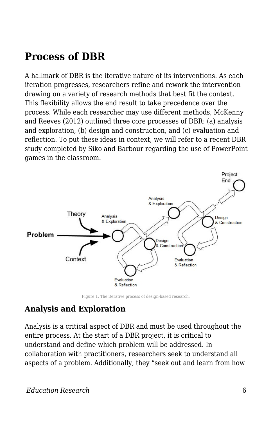### **Process of DBR**

A hallmark of DBR is the iterative nature of its interventions. As each iteration progresses, researchers refine and rework the intervention drawing on a variety of research methods that best fit the context. This flexibility allows the end result to take precedence over the process. While each researcher may use different methods, McKenny and Reeves (2012) outlined three core processes of DBR: (a) analysis and exploration, (b) design and construction, and (c) evaluation and reflection. To put these ideas in context, we will refer to a recent DBR study completed by Siko and Barbour regarding the use of PowerPoint games in the classroom.



Figure 1. The iterative process of design-based research.

#### **Analysis and Exploration**

Analysis is a critical aspect of DBR and must be used throughout the entire process. At the start of a DBR project, it is critical to understand and define which problem will be addressed. In collaboration with practitioners, researchers seek to understand all aspects of a problem. Additionally, they "seek out and learn from how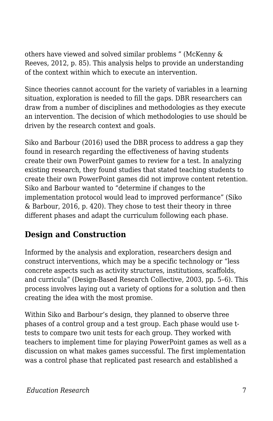others have viewed and solved similar problems " (McKenny & Reeves, 2012, p. 85). This analysis helps to provide an understanding of the context within which to execute an intervention.

Since theories cannot account for the variety of variables in a learning situation, exploration is needed to fill the gaps. DBR researchers can draw from a number of disciplines and methodologies as they execute an intervention. The decision of which methodologies to use should be driven by the research context and goals.

Siko and Barbour (2016) used the DBR process to address a gap they found in research regarding the effectiveness of having students create their own PowerPoint games to review for a test. In analyzing existing research, they found studies that stated teaching students to create their own PowerPoint games did not improve content retention. Siko and Barbour wanted to "determine if changes to the implementation protocol would lead to improved performance" (Siko & Barbour, 2016, p. 420). They chose to test their theory in three different phases and adapt the curriculum following each phase.

#### **Design and Construction**

Informed by the analysis and exploration, researchers design and construct interventions, which may be a specific technology or "less concrete aspects such as activity structures, institutions, scaffolds, and curricula" (Design-Based Research Collective, 2003, pp. 5–6). This process involves laying out a variety of options for a solution and then creating the idea with the most promise.

Within Siko and Barbour's design, they planned to observe three phases of a control group and a test group. Each phase would use ttests to compare two unit tests for each group. They worked with teachers to implement time for playing PowerPoint games as well as a discussion on what makes games successful. The first implementation was a control phase that replicated past research and established a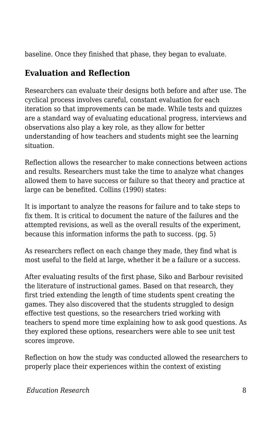baseline. Once they finished that phase, they began to evaluate.

### **Evaluation and Reflection**

Researchers can evaluate their designs both before and after use. The cyclical process involves careful, constant evaluation for each iteration so that improvements can be made. While tests and quizzes are a standard way of evaluating educational progress, interviews and observations also play a key role, as they allow for better understanding of how teachers and students might see the learning situation.

Reflection allows the researcher to make connections between actions and results. Researchers must take the time to analyze what changes allowed them to have success or failure so that theory and practice at large can be benefited. Collins (1990) states:

It is important to analyze the reasons for failure and to take steps to fix them. It is critical to document the nature of the failures and the attempted revisions, as well as the overall results of the experiment, because this information informs the path to success. (pg. 5)

As researchers reflect on each change they made, they find what is most useful to the field at large, whether it be a failure or a success.

After evaluating results of the first phase, Siko and Barbour revisited the literature of instructional games. Based on that research, they first tried extending the length of time students spent creating the games. They also discovered that the students struggled to design effective test questions, so the researchers tried working with teachers to spend more time explaining how to ask good questions. As they explored these options, researchers were able to see unit test scores improve.

Reflection on how the study was conducted allowed the researchers to properly place their experiences within the context of existing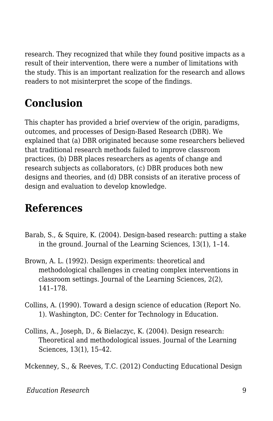research. They recognized that while they found positive impacts as a result of their intervention, there were a number of limitations with the study. This is an important realization for the research and allows readers to not misinterpret the scope of the findings.

# **Conclusion**

This chapter has provided a brief overview of the origin, paradigms, outcomes, and processes of Design-Based Research (DBR). We explained that (a) DBR originated because some researchers believed that traditional research methods failed to improve classroom practices, (b) DBR places researchers as agents of change and research subjects as collaborators, (c) DBR produces both new designs and theories, and (d) DBR consists of an iterative process of design and evaluation to develop knowledge.

## **References**

- Barab, S., & Squire, K. (2004). Design-based research: putting a stake in the ground. Journal of the Learning Sciences, 13(1), 1–14.
- Brown, A. L. (1992). Design experiments: theoretical and methodological challenges in creating complex interventions in classroom settings. Journal of the Learning Sciences, 2(2), 141–178.
- Collins, A. (1990). Toward a design science of education (Report No. 1). Washington, DC: Center for Technology in Education.
- Collins, A., Joseph, D., & Bielaczyc, K. (2004). Design research: Theoretical and methodological issues. Journal of the Learning Sciences, 13(1), 15–42.

Mckenney, S., & Reeves, T.C. (2012) Conducting Educational Design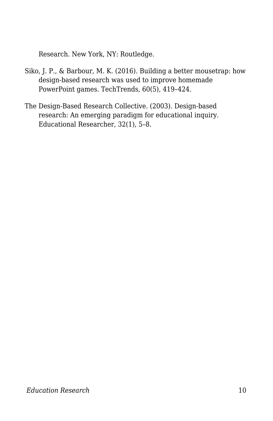Research. New York, NY: Routledge.

- Siko, J. P., & Barbour, M. K. (2016). Building a better mousetrap: how design-based research was used to improve homemade PowerPoint games. TechTrends, 60(5), 419–424.
- The Design-Based Research Collective. (2003). Design-based research: An emerging paradigm for educational inquiry. Educational Researcher, 32(1), 5–8.